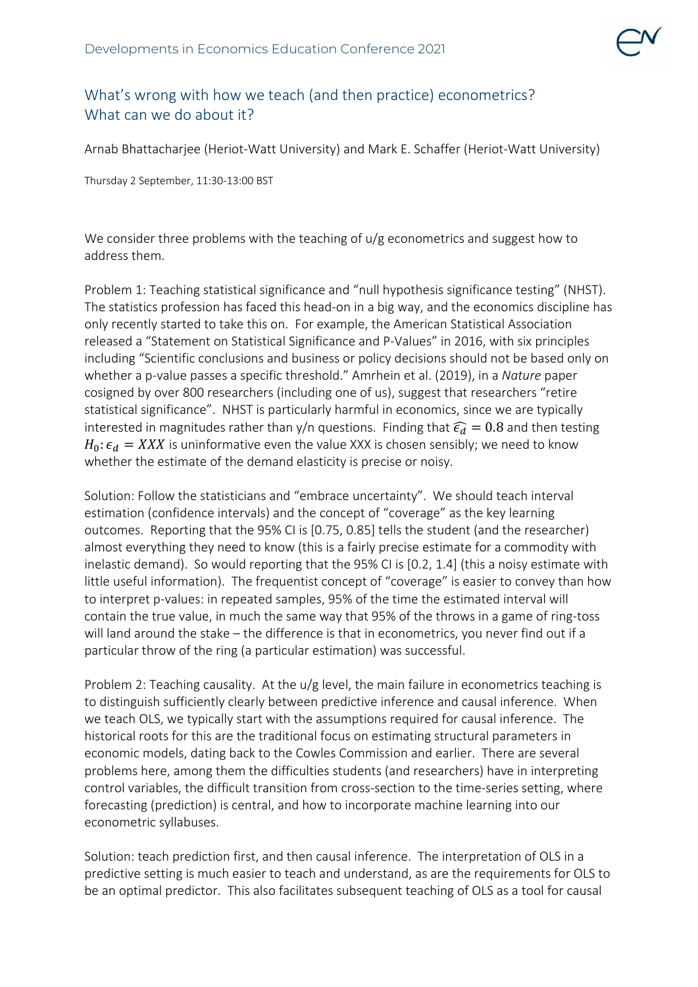## What's wrong with how we teach (and then practice) econometrics? What can we do about it?

Arnab Bhattacharjee (Heriot-Watt University) and Mark E. Schaffer (Heriot-Watt University)

Thursday 2 September, 11:30-13:00 BST

We consider three problems with the teaching of  $u/g$  econometrics and suggest how to address them.

Problem 1: Teaching statistical significance and "null hypothesis significance testing" (NHST). The statistics profession has faced this head-on in a big way, and the economics discipline has only recently started to take this on. For example, the American Statistical Association released a "Statement on Statistical Significance and P-Values" in 2016, with six principles including "Scientific conclusions and business or policy decisions should not be based only on whether a p-value passes a specific threshold." Amrhein et al. (2019), in a *Nature* paper cosigned by over 800 researchers (including one of us), suggest that researchers "retire statistical significance". NHST is particularly harmful in economics, since we are typically interested in magnitudes rather than y/n questions. Finding that  $\widehat{\epsilon_d} = 0.8$  and then testing  $H_0: \epsilon_d = XXX$  is uninformative even the value XXX is chosen sensibly; we need to know whether the estimate of the demand elasticity is precise or noisy.

Solution: Follow the statisticians and "embrace uncertainty". We should teach interval estimation (confidence intervals) and the concept of "coverage" as the key learning outcomes. Reporting that the 95% CI is [0.75, 0.85] tells the student (and the researcher) almost everything they need to know (this is a fairly precise estimate for a commodity with inelastic demand). So would reporting that the 95% CI is [0.2, 1.4] (this a noisy estimate with little useful information). The frequentist concept of "coverage" is easier to convey than how to interpret p-values: in repeated samples, 95% of the time the estimated interval will contain the true value, in much the same way that 95% of the throws in a game of ring-toss will land around the stake – the difference is that in econometrics, you never find out if a particular throw of the ring (a particular estimation) was successful.

Problem 2: Teaching causality. At the u/g level, the main failure in econometrics teaching is to distinguish sufficiently clearly between predictive inference and causal inference. When we teach OLS, we typically start with the assumptions required for causal inference. The historical roots for this are the traditional focus on estimating structural parameters in economic models, dating back to the Cowles Commission and earlier. There are several problems here, among them the difficulties students (and researchers) have in interpreting control variables, the difficult transition from cross-section to the time-series setting, where forecasting (prediction) is central, and how to incorporate machine learning into our econometric syllabuses.

Solution: teach prediction first, and then causal inference. The interpretation of OLS in a predictive setting is much easier to teach and understand, as are the requirements for OLS to be an optimal predictor. This also facilitates subsequent teaching of OLS as a tool for causal